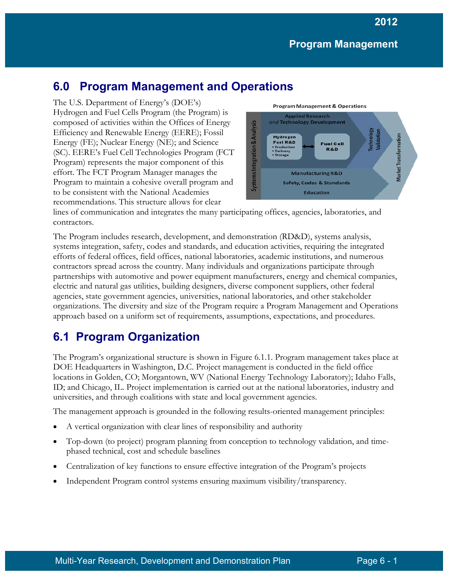# **6.0 Program Management and Operations**

The U.S. Department of Energy's (DOE's) Hydrogen and Fuel Cells Program (the Program) is composed of activities within the Offices of Energy Efficiency and Renewable Energy (EERE); Fossil Energy (FE); Nuclear Energy (NE); and Science (SC). EERE's Fuel Cell Technologies Program (FCT Program) represents the major component of this effort. The FCT Program Manager manages the Program to maintain a cohesive overall program and to be consistent with the National Academies recommendations. This structure allows for clear



lines of communication and integrates the many participating offices, agencies, laboratories, and contractors.

The Program includes research, development, and demonstration (RD&D), systems analysis, systems integration, safety, codes and standards, and education activities, requiring the integrated efforts of federal offices, field offices, national laboratories, academic institutions, and numerous contractors spread across the country. Many individuals and organizations participate through partnerships with automotive and power equipment manufacturers, energy and chemical companies, electric and natural gas utilities, building designers, diverse component suppliers, other federal agencies, state government agencies, universities, national laboratories, and other stakeholder organizations. The diversity and size of the Program require a Program Management and Operations approach based on a uniform set of requirements, assumptions, expectations, and procedures.

# **6.1 Program Organization**

The Program's organizational structure is shown in Figure 6.1.1. Program management takes place at DOE Headquarters in Washington, D.C. Project management is conducted in the field office locations in Golden, CO; Morgantown, WV (National Energy Technology Laboratory); Idaho Falls, ID; and Chicago, IL. Project implementation is carried out at the national laboratories, industry and universities, and through coalitions with state and local government agencies.

The management approach is grounded in the following results-oriented management principles:

- A vertical organization with clear lines of responsibility and authority
- Top-down (to project) program planning from conception to technology validation, and timephased technical, cost and schedule baselines
- Centralization of key functions to ensure effective integration of the Program's projects
- Independent Program control systems ensuring maximum visibility/transparency.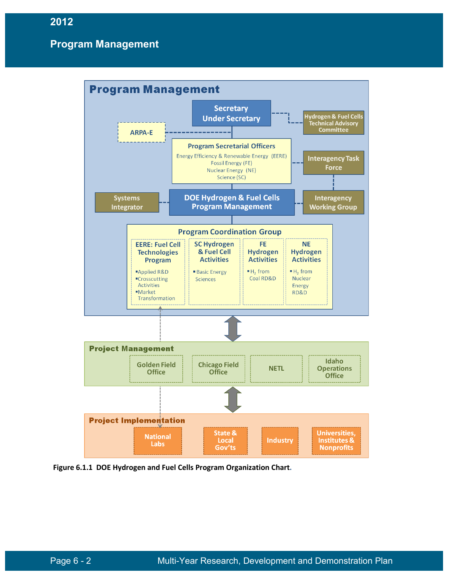

**Figure 6.1.1 DOE Hydrogen and Fuel Cells Program Organization Chart.**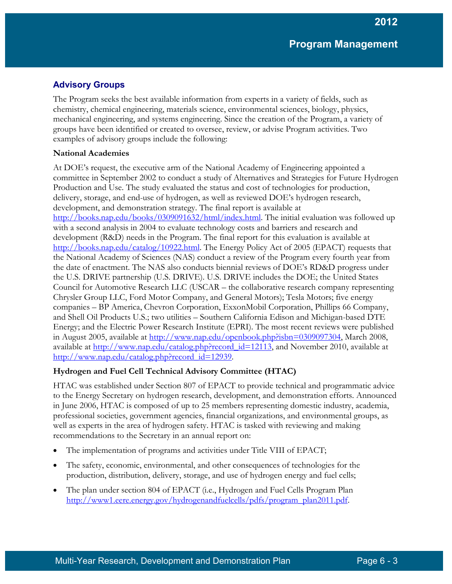# **Advisory Groups**

The Program seeks the best available information from experts in a variety of fields, such as chemistry, chemical engineering, materials science, environmental sciences, biology, physics, mechanical engineering, and systems engineering. Since the creation of the Program, a variety of groups have been identified or created to oversee, review, or advise Program activities. Two examples of advisory groups include the following:

### **National Academies**

At DOE's request, the executive arm of the National Academy of Engineering appointed a committee in September 2002 to conduct a study of Alternatives and Strategies for Future Hydrogen Production and Use. The study evaluated the status and cost of technologies for production, delivery, storage, and end-use of hydrogen, as well as reviewed DOE's hydrogen research, development, and demonstration strategy. The final report is available at [http://books.nap.edu/books/0309091632/html/index.html.](http://books.nap.edu/books/0309091632/html/index.html) The initial evaluation was followed up with a second analysis in 2004 to evaluate technology costs and barriers and research and development (R&D) needs in the Program. The final report for this evaluation is available at [http://books.nap.edu/catalog/10922.html.](http://books.nap.edu/catalog/10922.html) The Energy Policy Act of 2005 (EPACT) requests that the National Academy of Sciences (NAS) conduct a review of the Program every fourth year from the date of enactment. The NAS also conducts biennial reviews of DOE's RD&D progress under the U.S. DRIVE partnership (U.S. DRIVE). U.S. DRIVE includes the DOE; the United States Council for Automotive Research LLC (USCAR – the collaborative research company representing Chrysler Group LLC, Ford Motor Company, and General Motors); Tesla Motors; five energy companies – BP America, Chevron Corporation, ExxonMobil Corporation, Phillips 66 Company, and Shell Oil Products U.S.; two utilities – Southern California Edison and Michigan-based DTE Energy; and the Electric Power Research Institute (EPRI). The most recent reviews were published in August 2005, available at [http://www.nap.edu/openbook.php?isbn=0309097304,](http://www.nap.edu/openbook.php?isbn=0309097304) March 2008, available at [http://www.nap.edu/catalog.php?record\\_id=12113,](http://www.nap.edu/catalog.php?record_id=12113) and November 2010, available at [http://www.nap.edu/catalog.php?record\\_id=12939.](http://www.nap.edu/catalog.php?record_id=12939)

## **Hydrogen and Fuel Cell Technical Advisory Committee (HTAC)**

HTAC was established under Section 807 of EPACT to provide technical and programmatic advice to the Energy Secretary on hydrogen research, development, and demonstration efforts. Announced in June 2006, HTAC is composed of up to 25 members representing domestic industry, academia, professional societies, government agencies, financial organizations, and environmental groups, as well as experts in the area of hydrogen safety. HTAC is tasked with reviewing and making recommendations to the Secretary in an annual report on:

- The implementation of programs and activities under Title VIII of EPACT;
- The safety, economic, environmental, and other consequences of technologies for the production, distribution, delivery, storage, and use of hydrogen energy and fuel cells;
- The plan under section 804 of EPACT (i.e., Hydrogen and Fuel Cells Program Plan [http://www1.eere.energy.gov/hydrogenandfuelcells/pdfs/program\\_plan2011.pdf.](http://www1.eere.energy.gov/hydrogenandfuelcells/pdfs/program_plan2011.pdf)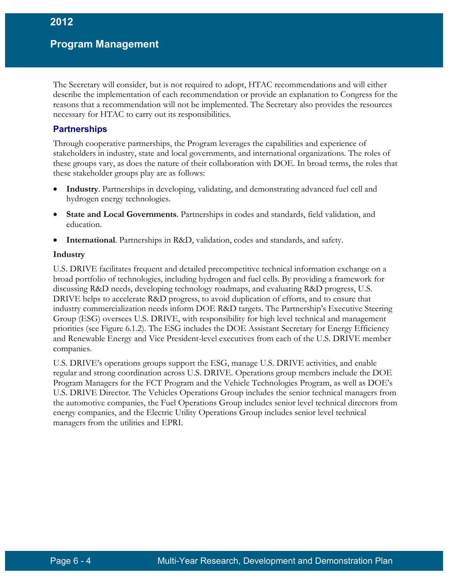The Secretary will consider, but is not required to adopt, HTAC recommendations and will either describe the implementation of each recommendation or provide an explanation to Congress for the reasons that a recommendation will not be implemented. The Secretary also provides the resources necessary for HTAC to carry out its responsibilities.

### **Partnerships**

Through cooperative partnerships, the Program leverages the capabilities and experience of stakeholders in industry, state and local governments, and international organizations. The roles of these groups vary, as does the nature of their collaboration with DOE. In broad terms, the roles that these stakeholder groups play are as follows:

- **Industry**. Partnerships in developing, validating, and demonstrating advanced fuel cell and hydrogen energy technologies.
- **State and Local Governments**. Partnerships in codes and standards, field validation, and education.
- **International**. Partnerships in R&D, validation, codes and standards, and safety.

#### **Industry**

U.S. DRIVE facilitates frequent and detailed precompetitive technical information exchange on a broad portfolio of technologies, including hydrogen and fuel cells. By providing a framework for discussing R&D needs, developing technology roadmaps, and evaluating R&D progress, U.S. DRIVE helps to accelerate R&D progress, to avoid duplication of efforts, and to ensure that industry commercialization needs inform DOE R&D targets. The Partnership's Executive Steering Group (ESG) oversees U.S. DRIVE, with responsibility for high level technical and management priorities (see Figure 6.1.2). The ESG includes the DOE Assistant Secretary for Energy Efficiency and Renewable Energy and Vice President-level executives from each of the U.S. DRIVE member companies.

U.S. DRIVE's operations groups support the ESG, manage U.S. DRIVE activities, and enable regular and strong coordination across U.S. DRIVE. Operations group members include the DOE Program Managers for the FCT Program and the Vehicle Technologies Program, as well as DOE's U.S. DRIVE Director. The Vehicles Operations Group includes the senior technical managers from the automotive companies, the Fuel Operations Group includes senior level technical directors from energy companies, and the Electric Utility Operations Group includes senior level technical managers from the utilities and EPRI.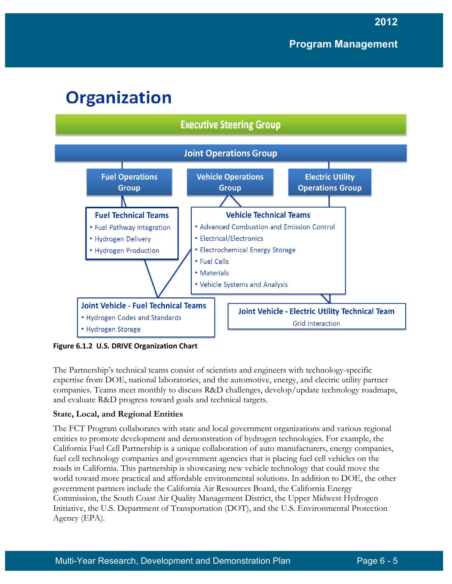# **Organization**



**Figure 6.1.2 U.S. DRIVE Organization Chart**

The Partnership's technical teams consist of scientists and engineers with technology-specific expertise from DOE, national laboratories, and the automotive, energy, and electric utility partner companies. Teams meet monthly to discuss R&D challenges, develop/update technology roadmaps, and evaluate R&D progress toward goals and technical targets.

## **State, Local, and Regional Entities**

The FCT Program collaborates with state and local government organizations and various regional entities to promote development and demonstration of hydrogen technologies. For example, the California Fuel Cell Partnership is a unique collaboration of auto manufacturers, energy companies, fuel cell technology companies and government agencies that is placing fuel cell vehicles on the roads in California. This partnership is showcasing new vehicle technology that could move the world toward more practical and affordable environmental solutions. In addition to DOE, the other government partners include the California Air Resources Board, the California Energy Commission, the South Coast Air Quality Management District, the Upper Midwest Hydrogen Initiative, the U.S. Department of Transportation (DOT), and the U.S. Environmental Protection Agency (EPA).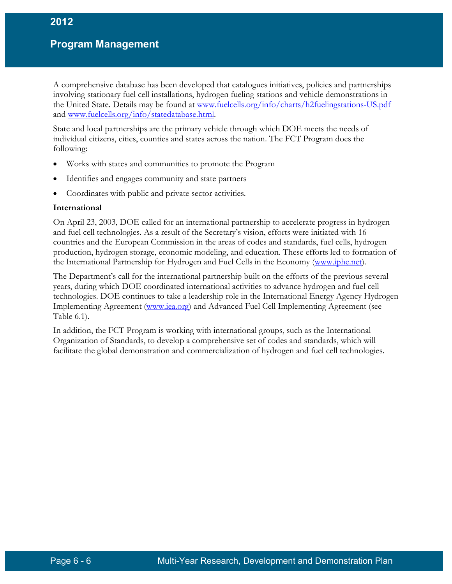A comprehensive database has been developed that catalogues initiatives, policies and partnerships involving stationary fuel cell installations, hydrogen fueling stations and vehicle demonstrations in the United State. Details may be found at [www.fuelcells.org/info/charts/h2fuelingstations-US.pdf](http://www.fuelcells.org/info/charts/h2fuelingstations-US.pdf) and [www.fuelcells.org/info/statedatabase.html.](http://www.fuelcells.org/info/statedatabase.html)

State and local partnerships are the primary vehicle through which DOE meets the needs of individual citizens, cities, counties and states across the nation. The FCT Program does the following:

- Works with states and communities to promote the Program
- Identifies and engages community and state partners
- Coordinates with public and private sector activities.

#### **International**

On April 23, 2003, DOE called for an international partnership to accelerate progress in hydrogen and fuel cell technologies. As a result of the Secretary's vision, efforts were initiated with 16 countries and the European Commission in the areas of codes and standards, fuel cells, hydrogen production, hydrogen storage, economic modeling, and education. These efforts led to formation of the International Partnership for Hydrogen and Fuel Cells in the Economy [\(www.iphe.net\)](http://www.iphe.net/).

The Department's call for the international partnership built on the efforts of the previous several years, during which DOE coordinated international activities to advance hydrogen and fuel cell technologies. DOE continues to take a leadership role in the International Energy Agency Hydrogen Implementing Agreement [\(www.iea.org\)](http://www.iea.org/) and Advanced Fuel Cell Implementing Agreement (see Table 6.1).

In addition, the FCT Program is working with international groups, such as the International Organization of Standards, to develop a comprehensive set of codes and standards, which will facilitate the global demonstration and commercialization of hydrogen and fuel cell technologies.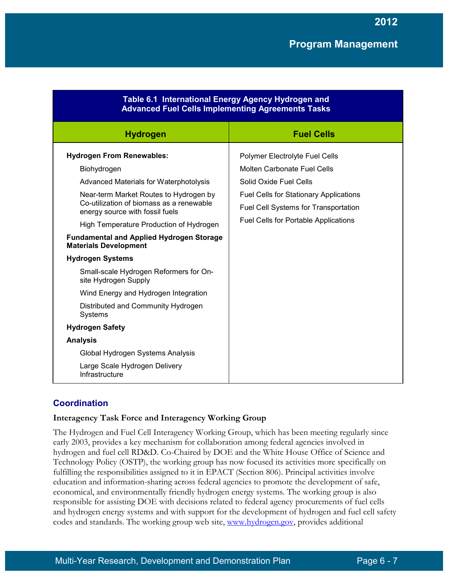| Table 6.1 International Energy Agency Hydrogen and<br><b>Advanced Fuel Cells Implementing Agreements Tasks</b>                                                                     |                                                                                                                                                                |
|------------------------------------------------------------------------------------------------------------------------------------------------------------------------------------|----------------------------------------------------------------------------------------------------------------------------------------------------------------|
| <b>Hydrogen</b>                                                                                                                                                                    | <b>Fuel Cells</b>                                                                                                                                              |
| <b>Hydrogen From Renewables:</b><br>Biohydrogen                                                                                                                                    | Polymer Electrolyte Fuel Cells<br><b>Molten Carbonate Fuel Cells</b>                                                                                           |
| Advanced Materials for Waterphotolysis<br>Near-term Market Routes to Hydrogen by<br>Co-utilization of biomass as a renewable<br>energy source with fossil fuels                    | Solid Oxide Fuel Cells<br><b>Fuel Cells for Stationary Applications</b><br>Fuel Cell Systems for Transportation<br><b>Fuel Cells for Portable Applications</b> |
| High Temperature Production of Hydrogen<br><b>Fundamental and Applied Hydrogen Storage</b><br><b>Materials Development</b>                                                         |                                                                                                                                                                |
| <b>Hydrogen Systems</b><br>Small-scale Hydrogen Reformers for On-<br>site Hydrogen Supply<br>Wind Energy and Hydrogen Integration<br>Distributed and Community Hydrogen<br>Systems |                                                                                                                                                                |
| <b>Hydrogen Safety</b><br><b>Analysis</b><br>Global Hydrogen Systems Analysis<br>Large Scale Hydrogen Delivery<br>Infrastructure                                                   |                                                                                                                                                                |

# **Coordination**

#### **Interagency Task Force and Interagency Working Group**

The Hydrogen and Fuel Cell Interagency Working Group, which has been meeting regularly since early 2003, provides a key mechanism for collaboration among federal agencies involved in hydrogen and fuel cell RD&D. Co-Chaired by DOE and the White House Office of Science and Technology Policy (OSTP), the working group has now focused its activities more specifically on fulfilling the responsibilities assigned to it in EPACT (Section 806). Principal activities involve education and information-sharing across federal agencies to promote the development of safe, economical, and environmentally friendly hydrogen energy systems. The working group is also responsible for assisting DOE with decisions related to federal agency procurements of fuel cells and hydrogen energy systems and with support for the development of hydrogen and fuel cell safety codes and standards. The working group web site, [www.hydrogen.gov,](http://www.hydrogen.gov/) provides additional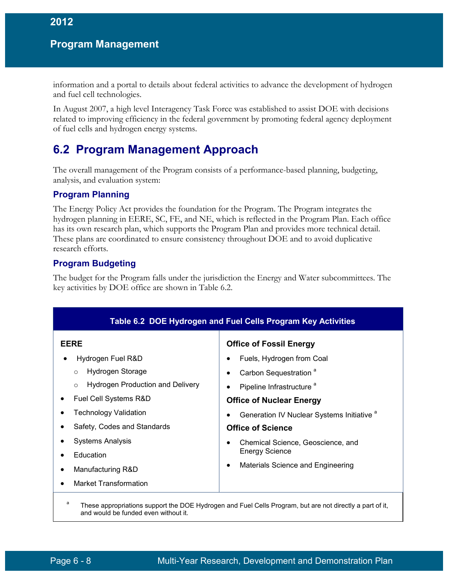information and a portal to details about federal activities to advance the development of hydrogen and fuel cell technologies.

In August 2007, a high level Interagency Task Force was established to assist DOE with decisions related to improving efficiency in the federal government by promoting federal agency deployment of fuel cells and hydrogen energy systems.

# **6.2 Program Management Approach**

The overall management of the Program consists of a performance-based planning, budgeting, analysis, and evaluation system:

# **Program Planning**

The Energy Policy Act provides the foundation for the Program. The Program integrates the hydrogen planning in EERE, SC, FE, and NE, which is reflected in the Program Plan. Each office has its own research plan, which supports the Program Plan and provides more technical detail. These plans are coordinated to ensure consistency throughout DOE and to avoid duplicative research efforts.

# **Program Budgeting**

The budget for the Program falls under the jurisdiction the Energy and Water subcommittees. The key activities by DOE office are shown in Table 6.2.

| Table 6.2 DOE Hydrogen and Fuel Cells Program Key Activities                                                          |                                                                                                                                                       |
|-----------------------------------------------------------------------------------------------------------------------|-------------------------------------------------------------------------------------------------------------------------------------------------------|
| <b>EERE</b><br>Hydrogen Fuel R&D<br>Hydrogen Storage<br>$\circ$<br><b>Hydrogen Production and Delivery</b><br>$\circ$ | <b>Office of Fossil Energy</b><br>Fuels, Hydrogen from Coal<br>Carbon Sequestration <sup>a</sup><br>$\bullet$<br>Pipeline Infrastructure <sup>a</sup> |
| Fuel Cell Systems R&D<br>٠<br><b>Technology Validation</b><br>Safety, Codes and Standards                             | <b>Office of Nuclear Energy</b><br>Generation IV Nuclear Systems Initiative <sup>a</sup><br><b>Office of Science</b>                                  |
| <b>Systems Analysis</b><br>Education<br>Manufacturing R&D<br>$\bullet$<br><b>Market Transformation</b><br>$\bullet$   | Chemical Science, Geoscience, and<br><b>Energy Science</b><br>Materials Science and Engineering<br>$\bullet$                                          |

and would be funded even without it.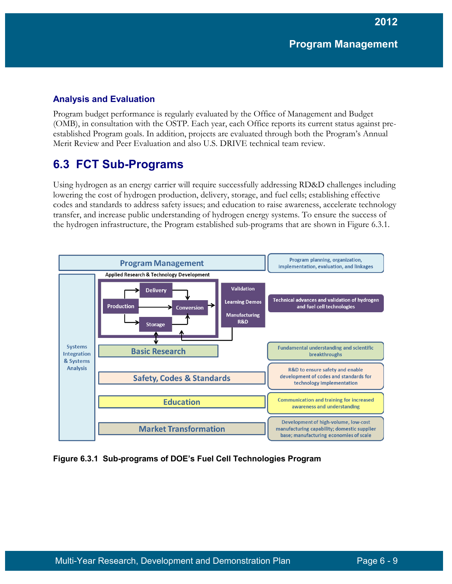**2012**

## **Analysis and Evaluation**

Program budget performance is regularly evaluated by the Office of Management and Budget (OMB), in consultation with the OSTP. Each year, each Office reports its current status against preestablished Program goals. In addition, projects are evaluated through both the Program's Annual Merit Review and Peer Evaluation and also U.S. DRIVE technical team review.

# **6.3 FCT Sub-Programs**

Using hydrogen as an energy carrier will require successfully addressing RD&D challenges including lowering the cost of hydrogen production, delivery, storage, and fuel cells; establishing effective codes and standards to address safety issues; and education to raise awareness, accelerate technology transfer, and increase public understanding of hydrogen energy systems. To ensure the success of the hydrogen infrastructure, the Program established sub-programs that are shown in Figure 6.3.1.



**Figure 6.3.1 Sub-programs of DOE's Fuel Cell Technologies Program**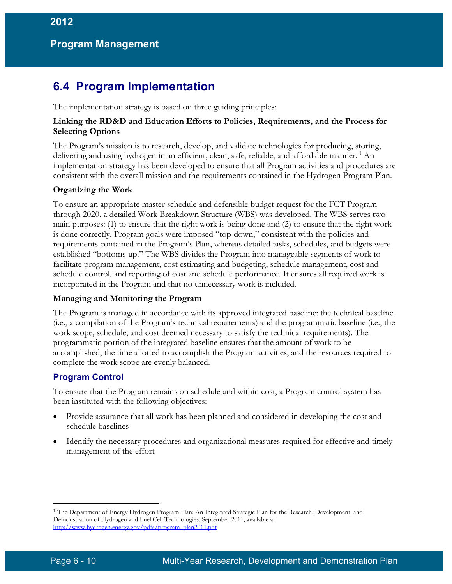# **6.4 Program Implementation**

The implementation strategy is based on three guiding principles:

#### **Linking the RD&D and Education Efforts to Policies, Requirements, and the Process for Selecting Options**

The Program's mission is to research, develop, and validate technologies for producing, storing, delivering and using hydrogen in an efficient, clean, safe, reliable, and affordable manner. <sup>[1](#page-9-0)</sup> An implementation strategy has been developed to ensure that all Program activities and procedures are consistent with the overall mission and the requirements contained in the Hydrogen Program Plan.

#### **Organizing the Work**

To ensure an appropriate master schedule and defensible budget request for the FCT Program through 2020, a detailed Work Breakdown Structure (WBS) was developed. The WBS serves two main purposes: (1) to ensure that the right work is being done and (2) to ensure that the right work is done correctly. Program goals were imposed "top-down," consistent with the policies and requirements contained in the Program's Plan, whereas detailed tasks, schedules, and budgets were established "bottoms-up." The WBS divides the Program into manageable segments of work to facilitate program management, cost estimating and budgeting, schedule management, cost and schedule control, and reporting of cost and schedule performance. It ensures all required work is incorporated in the Program and that no unnecessary work is included.

#### **Managing and Monitoring the Program**

The Program is managed in accordance with its approved integrated baseline: the technical baseline (i.e., a compilation of the Program's technical requirements) and the programmatic baseline (i.e., the work scope, schedule, and cost deemed necessary to satisfy the technical requirements). The programmatic portion of the integrated baseline ensures that the amount of work to be accomplished, the time allotted to accomplish the Program activities, and the resources required to complete the work scope are evenly balanced.

#### **Program Control**

To ensure that the Program remains on schedule and within cost, a Program control system has been instituted with the following objectives:

- Provide assurance that all work has been planned and considered in developing the cost and schedule baselines
- Identify the necessary procedures and organizational measures required for effective and timely management of the effort

 $\overline{a}$ 

<span id="page-9-0"></span><sup>1</sup> The Department of Energy Hydrogen Program Plan: An Integrated Strategic Plan for the Research, Development, and Demonstration of Hydrogen and Fuel Cell Technologies, September 2011, available at [http://www.hydrogen.energy.gov/pdfs/program\\_plan2011.pdf](http://www.hydrogen.energy.gov/pdfs/program_plan2011.pdf)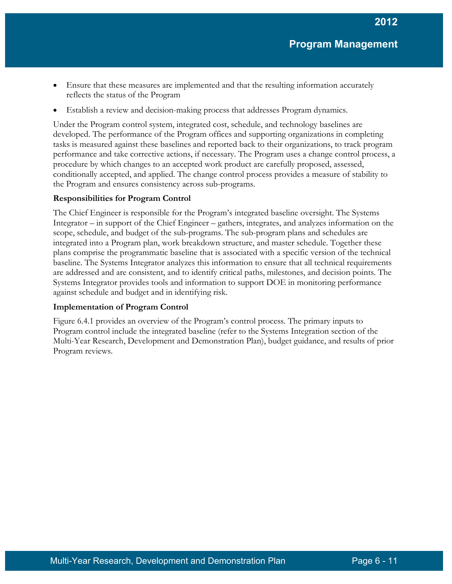- Ensure that these measures are implemented and that the resulting information accurately reflects the status of the Program
- Establish a review and decision-making process that addresses Program dynamics.

Under the Program control system, integrated cost, schedule, and technology baselines are developed. The performance of the Program offices and supporting organizations in completing tasks is measured against these baselines and reported back to their organizations, to track program performance and take corrective actions, if necessary. The Program uses a change control process, a procedure by which changes to an accepted work product are carefully proposed, assessed, conditionally accepted, and applied. The change control process provides a measure of stability to the Program and ensures consistency across sub-programs.

### **Responsibilities for Program Control**

The Chief Engineer is responsible for the Program's integrated baseline oversight. The Systems Integrator – in support of the Chief Engineer – gathers, integrates, and analyzes information on the scope, schedule, and budget of the sub-programs. The sub-program plans and schedules are integrated into a Program plan, work breakdown structure, and master schedule. Together these plans comprise the programmatic baseline that is associated with a specific version of the technical baseline. The Systems Integrator analyzes this information to ensure that all technical requirements are addressed and are consistent, and to identify critical paths, milestones, and decision points. The Systems Integrator provides tools and information to support DOE in monitoring performance against schedule and budget and in identifying risk.

#### **Implementation of Program Control**

Figure 6.4.1 provides an overview of the Program's control process. The primary inputs to Program control include the integrated baseline (refer to the Systems Integration section of the Multi-Year Research, Development and Demonstration Plan), budget guidance, and results of prior Program reviews.